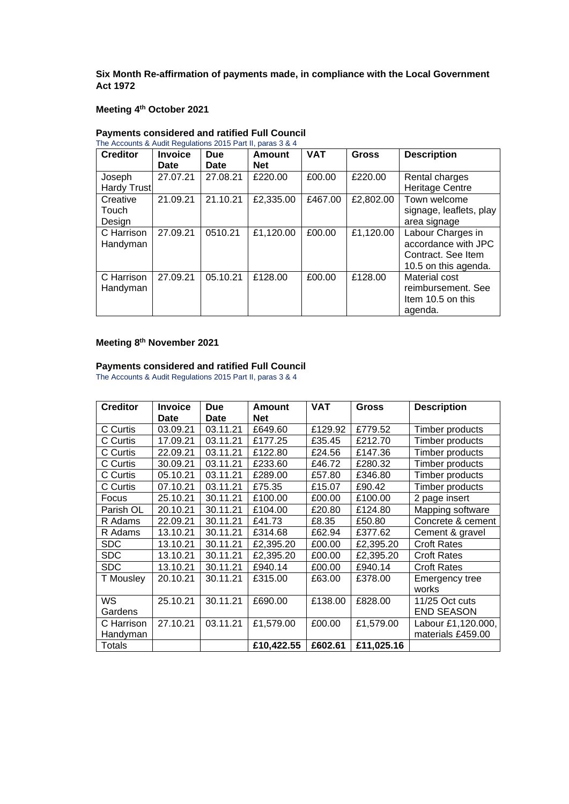**Six Month Re-affirmation of payments made, in compliance with the Local Government Act 1972**

## **Meeting 4th October 2021**

| <b>Creditor</b>        | <b>Invoice</b> | <b>Due</b> | Amount     | <b>VAT</b> | <b>Gross</b> | <b>Description</b>                                                                     |
|------------------------|----------------|------------|------------|------------|--------------|----------------------------------------------------------------------------------------|
|                        | Date           | Date       | <b>Net</b> |            |              |                                                                                        |
| Joseph                 | 27.07.21       | 27.08.21   | £220.00    | £00.00     | £220.00      | Rental charges                                                                         |
| Hardy Trust            |                |            |            |            |              | <b>Heritage Centre</b>                                                                 |
| Creative               | 21.09.21       | 21.10.21   | £2,335.00  | £467.00    | £2,802.00    | Town welcome                                                                           |
| Touch                  |                |            |            |            |              | signage, leaflets, play                                                                |
| Design                 |                |            |            |            |              | area signage                                                                           |
| C Harrison<br>Handyman | 27.09.21       | 0510.21    | £1,120.00  | £00.00     | £1,120.00    | Labour Charges in<br>accordance with JPC<br>Contract. See Item<br>10.5 on this agenda. |
| C Harrison<br>Handyman | 27.09.21       | 05.10.21   | £128.00    | £00.00     | £128.00      | Material cost<br>reimbursement. See<br>Item 10.5 on this<br>agenda.                    |

#### **Payments considered and ratified Full Council**   $T_{\text{max}}$   $T_{\text{max}}$   $T_{\text{max}}$   $T_{\text{max}}$   $T_{\text{max}}$

## **Meeting 8th November 2021**

#### **Payments considered and ratified Full Council**

The Accounts & Audit Regulations 2015 Part II, paras 3 & 4

| <b>Creditor</b>        | <b>Invoice</b> | <b>Due</b>  | Amount     | <b>VAT</b> | <b>Gross</b> | <b>Description</b>                      |
|------------------------|----------------|-------------|------------|------------|--------------|-----------------------------------------|
|                        | <b>Date</b>    | <b>Date</b> | <b>Net</b> |            |              |                                         |
| C Curtis               | 03.09.21       | 03.11.21    | £649.60    | £129.92    | £779.52      | Timber products                         |
| C Curtis               | 17.09.21       | 03.11.21    | £177.25    | £35.45     | £212.70      | Timber products                         |
| C Curtis               | 22.09.21       | 03.11.21    | £122.80    | £24.56     | £147.36      | Timber products                         |
| C Curtis               | 30.09.21       | 03.11.21    | £233.60    | £46.72     | £280.32      | Timber products                         |
| C Curtis               | 05.10.21       | 03.11.21    | £289.00    | £57.80     | £346.80      | Timber products                         |
| C Curtis               | 07.10.21       | 03.11.21    | £75.35     | £15.07     | £90.42       | Timber products                         |
| Focus                  | 25.10.21       | 30.11.21    | £100.00    | £00.00     | £100.00      | 2 page insert                           |
| Parish OL              | 20.10.21       | 30.11.21    | £104.00    | £20.80     | £124.80      | Mapping software                        |
| R Adams                | 22.09.21       | 30.11.21    | £41.73     | £8.35      | £50.80       | Concrete & cement                       |
| R Adams                | 13.10.21       | 30.11.21    | £314.68    | £62.94     | £377.62      | Cement & gravel                         |
| <b>SDC</b>             | 13.10.21       | 30.11.21    | £2,395.20  | £00.00     | £2,395.20    | <b>Croft Rates</b>                      |
| <b>SDC</b>             | 13.10.21       | 30.11.21    | £2,395.20  | £00.00     | £2,395.20    | <b>Croft Rates</b>                      |
| <b>SDC</b>             | 13.10.21       | 30.11.21    | £940.14    | £00.00     | £940.14      | <b>Croft Rates</b>                      |
| T Mousley              | 20.10.21       | 30.11.21    | £315.00    | £63.00     | £378.00      | Emergency tree<br>works                 |
| <b>WS</b><br>Gardens   | 25.10.21       | 30.11.21    | £690.00    | £138.00    | £828.00      | 11/25 Oct cuts<br><b>END SEASON</b>     |
| C Harrison<br>Handyman | 27.10.21       | 03.11.21    | £1,579.00  | £00.00     | £1,579.00    | Labour £1,120.000,<br>materials £459.00 |
| <b>Totals</b>          |                |             | £10,422.55 | £602.61    | £11,025.16   |                                         |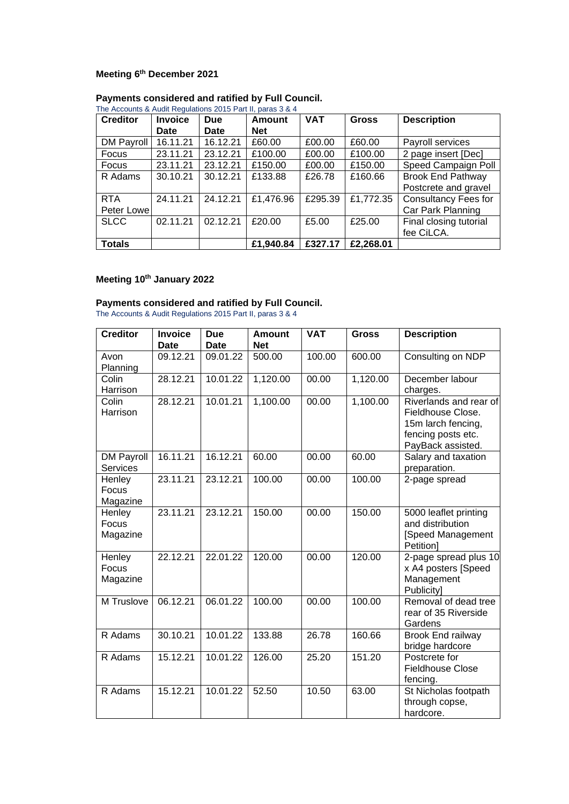## **Meeting 6th December 2021**

| <b>Creditor</b> | <b>Invoice</b> | <b>Due</b> | <b>Amount</b> | <b>VAT</b> | <b>Gross</b> | <b>Description</b>          |
|-----------------|----------------|------------|---------------|------------|--------------|-----------------------------|
|                 | Date           | Date       | <b>Net</b>    |            |              |                             |
| DM Payroll      | 16.11.21       | 16.12.21   | £60.00        | £00.00     | £60.00       | Payroll services            |
| Focus           | 23.11.21       | 23.12.21   | £100.00       | £00.00     | £100.00      | 2 page insert [Dec]         |
| Focus           | 23.11.21       | 23.12.21   | £150.00       | £00.00     | £150.00      | Speed Campaign Poll         |
| R Adams         | 30.10.21       | 30.12.21   | £133.88       | £26.78     | £160.66      | <b>Brook End Pathway</b>    |
|                 |                |            |               |            |              | Postcrete and gravel        |
| <b>RTA</b>      | 24.11.21       | 24.12.21   | £1,476.96     | £295.39    | £1,772.35    | <b>Consultancy Fees for</b> |
| Peter Lowel     |                |            |               |            |              | Car Park Planning           |
| <b>SLCC</b>     | 02.11.21       | 02.12.21   | £20.00        | £5.00      | £25.00       | Final closing tutorial      |
|                 |                |            |               |            |              | fee CiLCA.                  |
| <b>Totals</b>   |                |            | £1,940.84     | £327.17    | £2,268.01    |                             |

#### **Payments considered and ratified by Full Council.**

#### The Accounts & Audit Regulations 2015 Part II, paras 3 & 4

## **Meeting 10th January 2022**

#### **Payments considered and ratified by Full Council.**

The Accounts & Audit Regulations 2015 Part II, paras 3 & 4

| <b>Creditor</b>               | <b>Invoice</b><br><b>Date</b> | <b>Due</b><br><b>Date</b> | <b>Amount</b><br><b>Net</b> | <b>VAT</b> | <b>Gross</b> | <b>Description</b>                                                                                           |
|-------------------------------|-------------------------------|---------------------------|-----------------------------|------------|--------------|--------------------------------------------------------------------------------------------------------------|
| Avon<br>Planning              | 09.12.21                      | 09.01.22                  | 500.00                      | 100.00     | 600.00       | Consulting on NDP                                                                                            |
| Colin<br>Harrison             | 28.12.21                      | 10.01.22                  | 1,120.00                    | 00.00      | 1,120.00     | December labour<br>charges.                                                                                  |
| Colin<br>Harrison             | 28.12.21                      | 10.01.21                  | 1,100.00                    | 00.00      | 1,100.00     | Riverlands and rear of<br>Fieldhouse Close.<br>15m larch fencing,<br>fencing posts etc.<br>PayBack assisted. |
| <b>DM Payroll</b><br>Services | 16.11.21                      | 16.12.21                  | 60.00                       | 00.00      | 60.00        | Salary and taxation<br>preparation.                                                                          |
| Henley<br>Focus<br>Magazine   | 23.11.21                      | 23.12.21                  | 100.00                      | 00.00      | 100.00       | 2-page spread                                                                                                |
| Henley<br>Focus<br>Magazine   | 23.11.21                      | 23.12.21                  | 150.00                      | 00.00      | 150.00       | 5000 leaflet printing<br>and distribution<br>[Speed Management<br>Petition]                                  |
| Henley<br>Focus<br>Magazine   | 22.12.21                      | 22.01.22                  | 120.00                      | 00.00      | 120.00       | 2-page spread plus 10<br>x A4 posters [Speed<br>Management<br>Publicity]                                     |
| M Truslove                    | 06.12.21                      | 06.01.22                  | 100.00                      | 00.00      | 100.00       | Removal of dead tree<br>rear of 35 Riverside<br>Gardens                                                      |
| R Adams                       | 30.10.21                      | 10.01.22                  | 133.88                      | 26.78      | 160.66       | Brook End railway<br>bridge hardcore                                                                         |
| R Adams                       | 15.12.21                      | 10.01.22                  | 126.00                      | 25.20      | 151.20       | Postcrete for<br><b>Fieldhouse Close</b><br>fencing.                                                         |
| R Adams                       | 15.12.21                      | 10.01.22                  | 52.50                       | 10.50      | 63.00        | St Nicholas footpath<br>through copse,<br>hardcore.                                                          |